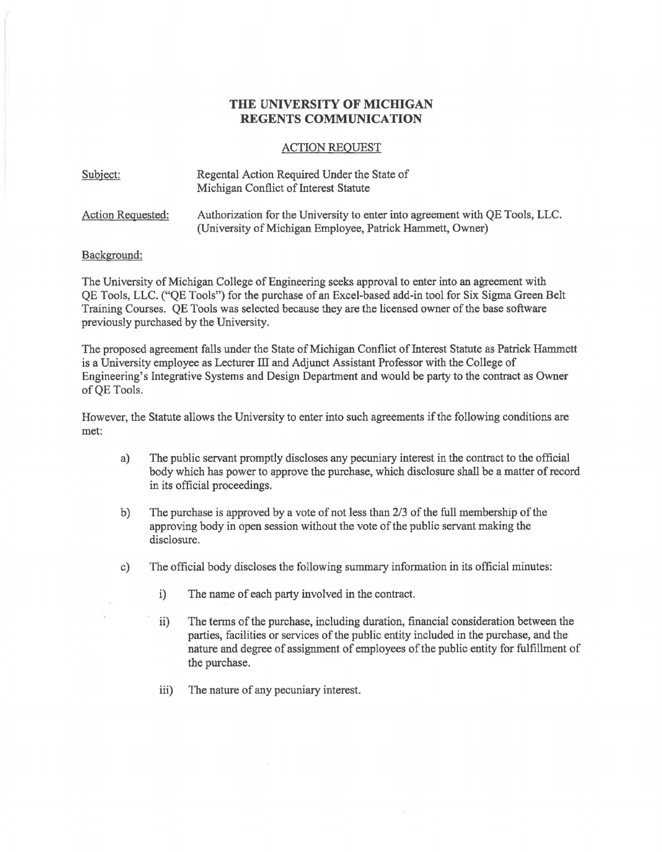## **THE UNIVERSITY OF MICHIGAN REGENTS COMMUNICATION**

## ACTION REQUEST

| Subject:          | Regental Action Required Under the State of<br>Michigan Conflict of Interest Statute                                                      |
|-------------------|-------------------------------------------------------------------------------------------------------------------------------------------|
| Action Requested: | Authorization for the University to enter into agreement with QE Tools, LLC.<br>(University of Michigan Employee, Patrick Hammett, Owner) |

## Background:

The University of Michigan College of Engineering seeks approval to enter into an agreement with QE Tools, LLC. ("QE Tools") for the purchase of an Excel-based add-in tool for Six Sigma Green Belt Training Courses. QE Tools was selected because they are the licensed owner of the base software previously purchased by the University.

The proposed agreement falls under the State of Michigan Conflict of Interest Statute as Patrick Hammett is a University employee as Lecturer III and Adjunct Assistant Professor with the College of Engineering's Integrative Systems and Design Department and would be party to the contract as Owner of QE Tools.

However, the Statute allows the University to enter into such agreements if the following conditions are met:

- a) The public servant promptly discloses any pecuniary interest in the contract to the official body which has power to approve the purchase, which disclosure shall be a matter of record in its official proceedings.
- b) The purchase is approved by a vote of not less than 2/3 of the full membership of the approving body in open session without the vote of the public servant making the disclosure.
- c) The official body discloses the following summary information in its official minutes:
	- i) The name of each party involved in the contract.
	- ii) The terms of the purchase, including duration, financial consideration between the parties, facilities or services of the public entity included in the purchase, and the nature and degree of assignment of employees of the public entity for fulfillment of the purchase.
	- iii) The nature of any pecuniary interest.